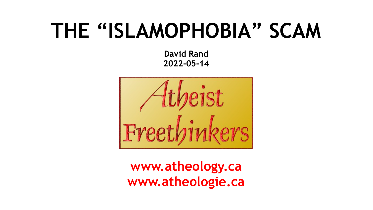#### **THE "ISLAMOPHOBIA" SCAM**

**David Rand 2022-05-14**



**[www.atheology.ca](http://www.atheology.ca/) www.atheologie.ca**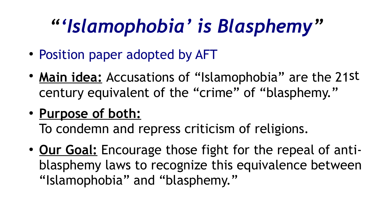#### *"['Islamophobia' is Blasphemy"](https://www.atheology.ca/manifesto/islamophobia-blasphemy/)*

- [Position paper adopted by AFT](https://www.atheology.ca/manifesto/islamophobia-blasphemy/)
- Main idea: Accusations of "Islamophobia" are the 21st century equivalent of the "crime" of "blasphemy."
- **Purpose of both:**

To condemn and repress criticism of religions.

• **Our Goal:** Encourage those fight for the repeal of antiblasphemy laws to recognize this equivalence between "Islamophobia" and "blasphemy."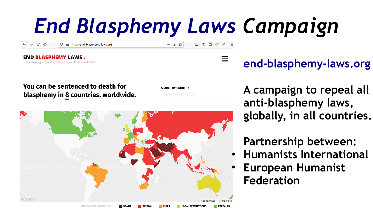### *[End Blasphemy Laws](https://end-blasphemy-laws.org/) Campaign*

 $\vee$   $\odot$   $\vee$   $\equiv$ 

 $\cdots$   $\heartsuit$   $\stackrel{A}{\rightsquigarrow}$ 

**END BLASPHEMY LAWS.** The campaign to abolish blasphemy laws, worldwide You can be sentenced to death for **SEARCH BY COUNTRY** blasphemy in 8 countries, worldwide. Google **LOCAL RESTRICTIONS REPEALED** 

 $\rightarrow$  e a

https://end-blasphemy-laws.org

**[end-blasphemy-laws.org](https://end-blasphemy-laws.org/)**

**A campaign to repeal all anti-blasphemy laws, globally, in all countries.** 

**Partnership between:**

- **Humanists International**
- **European Humanist Federation**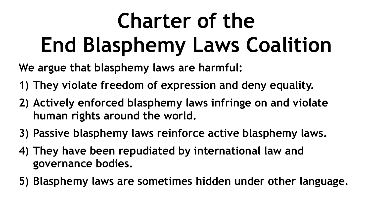# **Charter of the End Blasphemy Laws Coalition**

**We argue that blasphemy laws are harmful:**

- **1) They violate freedom of expression and deny equality.**
- **2) Actively enforced blasphemy laws infringe on and violate human rights around the world.**
- **3) Passive blasphemy laws reinforce active blasphemy laws.**
- **4) They have been repudiated by international law and governance bodies.**
- **5) Blasphemy laws are sometimes hidden under other language.**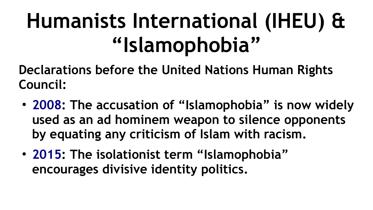### **Humanists International (IHEU) & "Islamophobia"**

**Declarations before the United Nations Human Rights Council:**

- [2008](https://humanists.international/2008/09/iheu-attacks-concept-islamophobia/): The accusation of "Islamophobia" is now widely **used as an ad hominem weapon to silence opponents by equating any criticism of Islam with racism.**
- **[2015](https://humanists.international/advocacy-statement/on-the-use-of-the-term-islamophobia/): The isolationist term "Islamophobia" encourages divisive identity politics.**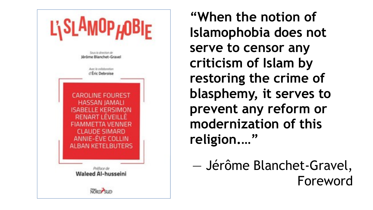

**"When the notion of Islamophobia does not serve to censor any criticism of Islam by restoring the crime of blasphemy, it serves to prevent any reform or modernization of this religion.…"**

— Jérôme Blanchet-Gravel, Foreword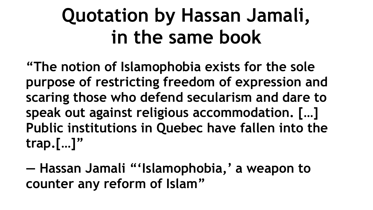#### **Quotation by Hassan Jamali, in the same book**

**"The notion of Islamophobia exists for the sole purpose of restricting freedom of expression and scaring those who defend secularism and dare to speak out against religious accommodation. […] Public institutions in Quebec have fallen into the trap.[…]"**

**— Hassan Jamali "'Islamophobia,' a weapon to counter any reform of Islam"**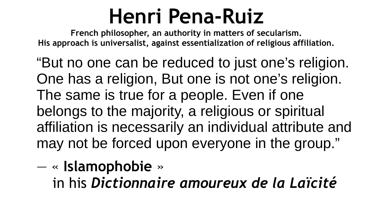#### **Henri Pena-Ruiz**

**French philosopher, an authority in matters of secularism. His approach is universalist, against essentialization of religious affiliation.**

"But no one can be reduced to just one's religion. One has a religion, But one is not one's religion. The same is true for a people. Even if one belongs to the majority, a religious or spiritual affiliation is necessarily an individual attribute and may not be forced upon everyone in the group."

— « **Islamophobie** »

in his *Dictionnaire amoureux de la Laïcité*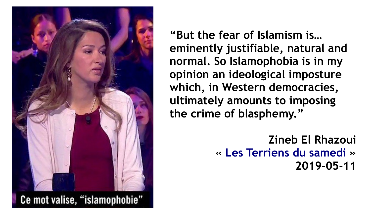

**"But the fear of Islamism is… eminently justifiable, natural and normal. So Islamophobia is in my opinion an ideological imposture which, in Western democracies, ultimately amounts to imposing the crime of blasphemy."**

> **Zineb El Rhazoui « [Les Terriens du samedi](http://mediasnewsplus.over-blog.com/2019/05/video-zineb-el-rhazoui-dans-les-terriens-du-samedi-l-islamisme-est-une-imposture-ideologique-qui-consiste-dans-les-democraties-occid) » 2019-05-11**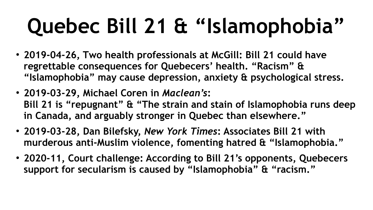# **Quebec Bill 21 & "Islamophobia"**

- **2019-04-26, Two health professionals at McGill: Bill 21 could have regrettable consequences for Quebecers' health. "Racism" & "Islamophobia" may cause depression, anxiety & psychological stress.**
- **2019-03-29, Michael Coren in** *Maclean's***: Bill 21 is "repugnant" & "The strain and stain of Islamophobia runs deep in Canada, and arguably stronger in Quebec than elsewhere."**
- **2019-03-28, Dan Bilefsky,** *New York Times***: Associates Bill 21 with murderous anti-Muslim violence, fomenting hatred & "Islamophobia."**
- **2020-11, Court challenge: According to Bill 21's opponents, Quebecers support for secularism is caused by "Islamophobia" & "racism."**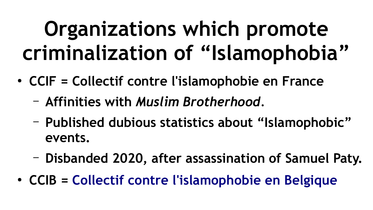#### **Organizations which promote criminalization of "Islamophobia"**

- **CCIF** = Collectif contre l'islamophobie en France
	- **Affinities with** *Muslim Brotherhood.*
	- **Published dubious statistics about "Islamophobic" events.**
	- **Disbanded 2020, after assassination of Samuel Paty.**
- **CCIB = [Collectif contre l'islamophobie en Belgique](https://ccib-ctib.be/)**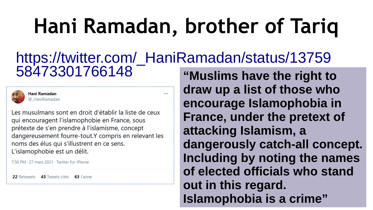### **Hani Ramadan, brother of Tariq**

#### [https://twitter.com/\\_HaniRamadan/status/13759](https://twitter.com/_HaniRamadan/status/1375958473301766148) [58473301766148](https://twitter.com/_HaniRamadan/status/1375958473301766148) **"Muslims have the right to**



Hani Ramadan @ HaniRamadan

Les musulmans sont en droit d'établir la liste de ceux qui encouragent l'islamophobie en France, sous prétexte de s'en prendre à l'islamisme, concept dangereusement fourre-tout.Y compris en relevant les noms des élus qui s'illustrent en ce sens. L'islamophobie est un délit.

7:50 PM · 27 mars 2021 · Twitter for iPhone

22 Retweets 43 Tweets cités 63 J'aime

**draw up a list of those who encourage Islamophobia in France, under the pretext of attacking Islamism, a dangerously catch-all concept. Including by noting the names of elected officials who stand out in this regard. Islamophobia is a crime"**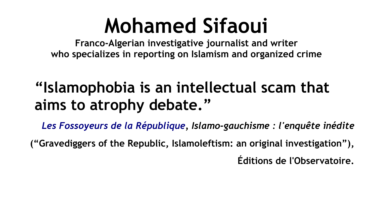#### **Mohamed Sifaoui**

**Franco-Algerian investigative journalist and writer who specializes in reporting on Islamism and organized crime**

#### **"Islamophobia is an intellectual scam that aims to atrophy debate."**

*[Les Fossoyeurs de la République,](https://www.facebook.com/MOHAMEDSIFAOUIJOURNALISTE/posts/291065035714444) Islamo-gauchisme : l'enquête inédite*

**("Gravediggers of the Republic, Islamoleftism: an original investigation"), Éditions de l'Observatoire.**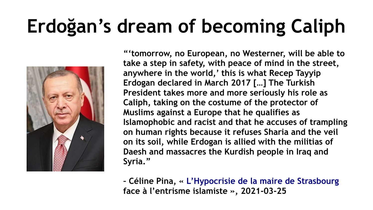#### **Erdoğan's dream of becoming Caliph**



**"'tomorrow, no European, no Westerner, will be able to take a step in safety, with peace of mind in the street, anywhere in the world,' this is what Recep Tayyip Erdogan declared in March 2017 […] The Turkish President takes more and more seriously his role as Caliph, taking on the costume of the protector of Muslims against a Europe that he qualifies as Islamophobic and racist and that he accuses of trampling on human rights because it refuses Sharia and the veil on its soil, while Erdogan is allied with the militias of Daesh and massacres the Kurdish people in Iraq and Syria."**

**– Céline Pina, « [L'Hypocrisie de la maire de Strasbourg](https://celinepina.fr/2021/03/lhypocrisie-de-la-maire-de-strasbourg-face-a-lentrisme-islamiste/) face à l'entrisme islamiste », 2021-03-25**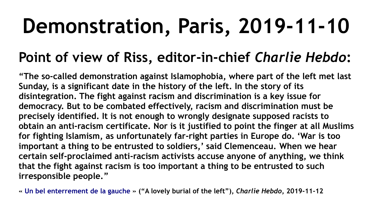### **Demonstration, Paris, 2019-11-10**

#### **Point of view of Riss, editor-in-chief** *Charlie Hebdo***:**

**"The so-called demonstration against Islamophobia, where part of the left met last Sunday, is a significant date in the history of the left. In the story of its disintegration. The fight against racism and discrimination is a key issue for democracy. But to be combated effectively, racism and discrimination must be precisely identified. It is not enough to wrongly designate supposed racists to obtain an anti-racism certificate. Nor is it justified to point the finger at all Muslims for fighting Islamism, as unfortunately far-right parties in Europe do. 'War is too important a thing to be entrusted to soldiers,' said Clemenceau. When we hear certain self-proclaimed anti-racism activists accuse anyone of anything, we think that the fight against racism is too important a thing to be entrusted to such irresponsible people."**

**« [Un bel enterrement de la gauche](https://charliehebdo.fr/2019/11/politique/bel-enterrement/) » ("A lovely burial of the left"),** *Charlie Hebdo***, 2019-11-12**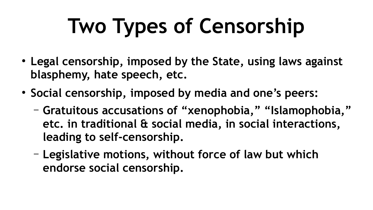# **Two Types of Censorship**

- **Legal censorship, imposed by the State, using laws against blasphemy, hate speech, etc.**
- **Social censorship, imposed by media and one's peers:**
	- **Gratuitous accusations of "xenophobia," "Islamophobia," etc. in traditional & social media, in social interactions, leading to self-censorship.**
	- **Legislative motions, without force of law but which endorse social censorship.**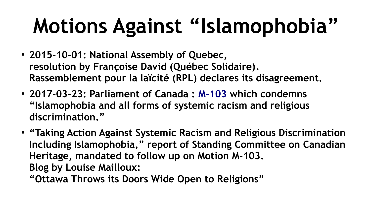# **Motions Against "Islamophobia"**

- **2015-10-01: National Assembly of Quebec, [resolution by Françoise David \(Québec Solidaire\)](http://www.assnat.qc.ca/fr/travaux-parlementaires/assemblee-nationale/41-1/journal-debats/20151001/155103.html). Rassemblement pour la laïcité (RPL) declares its disagreement.**
- **2017-03-23: Parliament of Canada : [M-103](https://www.ourcommons.ca/Members/en/iqra-khalid(88849)/motions/8661986) which condemns "Islamophobia and all forms of systemic racism and religious discrimination."**
- **"Taking Action Against Systemic Racism and Religious Discrimination Including Islamophobia," report of Standing Committee on Canadian Heritage, mandated to follow up on Motion M-103. [Blog by Louise Mailloux:](https://www.atheology.ca/blog-097/)**

**"Ottawa Throws its Doors Wide Open to Religions"**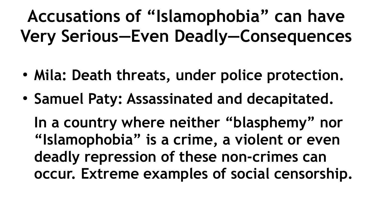#### **Accusations of "Islamophobia" can have Very Serious—Even Deadly—Consequences**

- Mila: Death threats, under police protection.
- **Samuel Paty: Assassinated and decapitated.**

**In a country where neither "blasphemy" nor "Islamophobia" is a crime, a violent or even deadly repression of these non-crimes can occur. Extreme examples of social censorship.**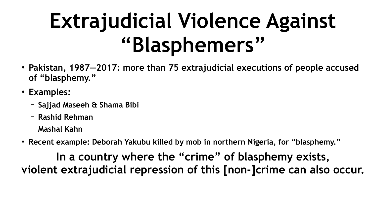### **Extrajudicial Violence Against "Blasphemers"**

- **Pakistan, 1987—2017: more than 75 extrajudicial executions of people accused of "blasphemy."**
- **Examples:**
	- **Sajjad Maseeh & Shama Bibi**
	- **Rashid Rehman**
	- **Mashal Kahn**
- Recent example: Deborah Yakubu killed by mob in northern Nigeria, for "blasphemy."

**In a country where the "crime" of blasphemy exists, violent extrajudicial repression of this [non-]crime can also occur.**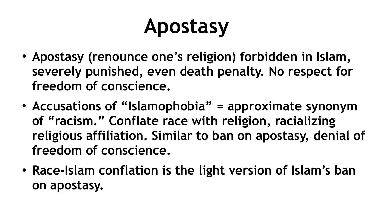### **Apostasy**

- Apostasy (renounce one's religion) forbidden in Islam, **severely punished, even death penalty. No respect for freedom of conscience.**
- Accusations of "Islamophobia" = approximate synonym **of "racism." Conflate race with religion, racializing religious affiliation. Similar to ban on apostasy, denial of freedom of conscience.**
- Race-Islam conflation is the light version of Islam's ban **on apostasy.**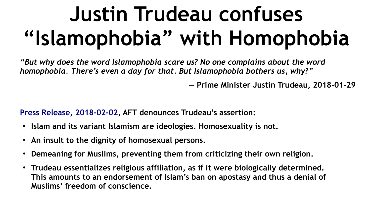### **Justin Trudeau confuses "Islamophobia" with Homophobia**

*"But why does the word Islamophobia scare us? No one complains about the word homophobia. There's even a day for that. But Islamophobia bothers us, why?"*

**— Prime Minister Justin Trudeau, 2018-01-29**

**[Press Release, 2018-02-02](https://www.atheology.ca/press_releases/2018-02-02/), AFT denounces Trudeau's assertion:**

- **Islam and its variant Islamism are ideologies. Homosexuality is not.**
- An insult to the dignity of homosexual persons.
- **Demeaning for Muslims, preventing them from criticizing their own religion.**
- Trudeau essentializes religious affiliation, as if it were biologically determined. **This amounts to an endorsement of Islam's ban on apostasy and thus a denial of Muslims' freedom of conscience.**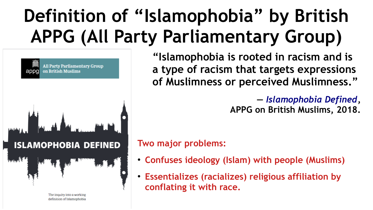#### **Definition of "Islamophobia" by British APPG (All Party Parliamentary Group)**

**All Party Parliamentary Group** on British Muslims appg **ISLAMOPHOBIA DEFINED** 

> The inquiry into a working definition of Islamophobia

**"Islamophobia is rooted in racism and is a type of racism that targets expressions of Muslimness or perceived Muslimness."**

> **—** *[Islamophobia Defined](https://appgbritishmuslims.org/s/Islamophobia-Defined.pdf)***, APPG on British Muslims, 2018.**

#### **Two major problems:**

- **Confuses ideology (Islam) with people (Muslims)**
- **Essentializes (racializes) religious affiliation by conflating it with race.**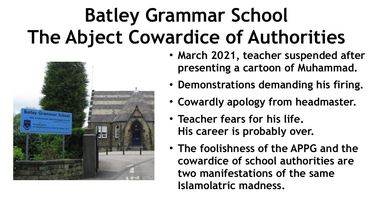#### **Batley Grammar School The Abject Cowardice of Authorities**



- **March 2021, teacher suspended after presenting a cartoon of Muhammad.**
- **Demonstrations demanding his firing.**
- **Cowardly apology from headmaster.**
- **Teacher fears for his life. His career is probably over.**
- **The foolishness of the APPG and the cowardice of school authorities are two manifestations of the same Islamolatric madness.**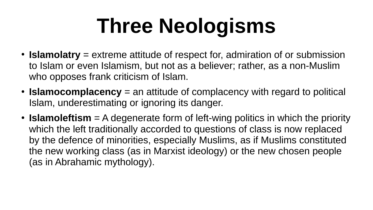### **Three Neologisms**

- **Islamolatry** = extreme attitude of respect for, admiration of or submission to Islam or even Islamism, but not as a believer; rather, as a non-Muslim who opposes frank criticism of Islam.
- **Islamocomplacency** = an attitude of complacency with regard to political Islam, underestimating or ignoring its danger.
- **Islamoleftism** = A degenerate form of left-wing politics in which the priority which the left traditionally accorded to questions of class is now replaced by the defence of minorities, especially Muslims, as if Muslims constituted the new working class (as in Marxist ideology) or the new chosen people (as in Abrahamic mythology).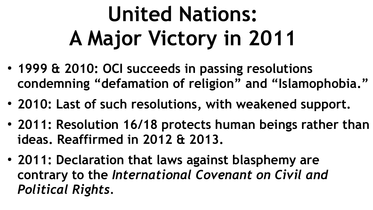# **United Nations: A Major Victory in 2011**

- **1999 & 2010: OCI succeeds in passing resolutions condemning "defamation of religion" and "Islamophobia."**
- **2010: Last of such resolutions, with weakened support.**
- 2011: Resolution 16/18 protects human beings rather than **ideas. Reaffirmed in 2012 & 2013.**
- **2011: Declaration that laws against blasphemy are contrary to the** *International Covenant on Civil and Political Rights.*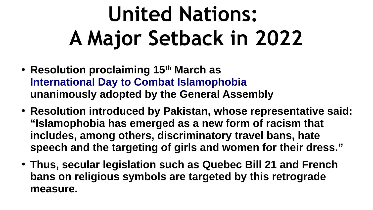### **United Nations: A Major Setback in 2022**

- **Resolution proclaiming 15th March as [International Day to Combat Islamophobia](https://www.un.org/press/en/2022/ga12408.doc.htm) unanimously adopted by the General Assembly**
- **Resolution introduced by Pakistan, whose representative said: "Islamophobia has emerged as a new form of racism that includes, among others, discriminatory travel bans, hate speech and the targeting of girls and women for their dress."**
- **Thus, secular legislation such as Quebec Bill 21 and French bans on religious symbols are targeted by this retrograde measure.**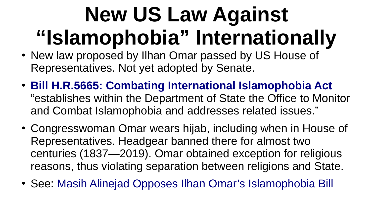### **New US Law Against "Islamophobia" Internationally**

- New law proposed by Ilhan Omar passed by US House of Representatives. Not yet adopted by Senate.
- **[Bill H.R.5665: Combating International Islamophobia Act](https://www.congress.gov/bill/117th-congress/house-bill/5665)** "establishes within the Department of State the Office to Monitor and Combat Islamophobia and addresses related issues."
- Congresswoman Omar wears hijab, including when in House of Representatives. Headgear banned there for almost two centuries (1837—2019). Omar obtained exception for religious reasons, thus violating separation between religions and State.
- See: [Masih Alinejad Opposes Ilhan Omar's Islamophobia Bill](https://www.atheology.ca/2022-01-25-masih-alinejad-opposes-ilhan-omar-islamophobia-bill/)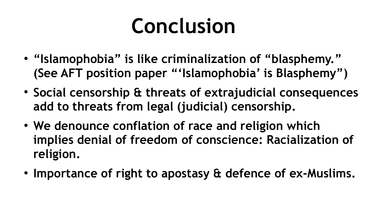#### **Conclusion**

- **"Islamophobia" is like criminalization of "blasphemy." (See AFT position paper "'Islamophobia' is Blasphemy")**
- **Social censorship & threats of extrajudicial consequences add to threats from legal (judicial) censorship.**
- We denounce conflation of race and religion which **implies denial of freedom of conscience: Racialization of religion.**
- Importance of right to apostasy & defence of ex-Muslims.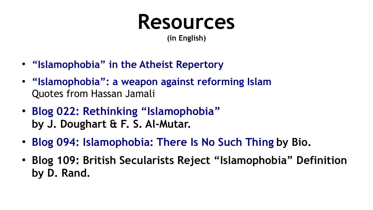#### **Resources**

**(in English)**

- **["Islamophobia" in the Atheist Repertory](https://atheism.davidrand.ca/repertoire/repertoire_en_i.html#islamophobia)**
- **["Islamophobia": a weapon against reforming Islam](https://blog.davidrand.ca/islamophobia-weapon-against-reforming-islam/)** Quotes from Hassan Jamali
- **[Blog 022: Rethinking "Islamophobia"](https://www.atheology.ca/blog-022/) by J. Doughart & F. S. Al-Mutar.**
- **[Blog 094: Islamophobia: There Is No Such Thing](https://www.atheology.ca/blog-094/) by Bio.**
- **[Blog 109: British Secularists Reject "Islamophobia" Definition](https://www.atheology.ca/blog-109/) by D. Rand.**